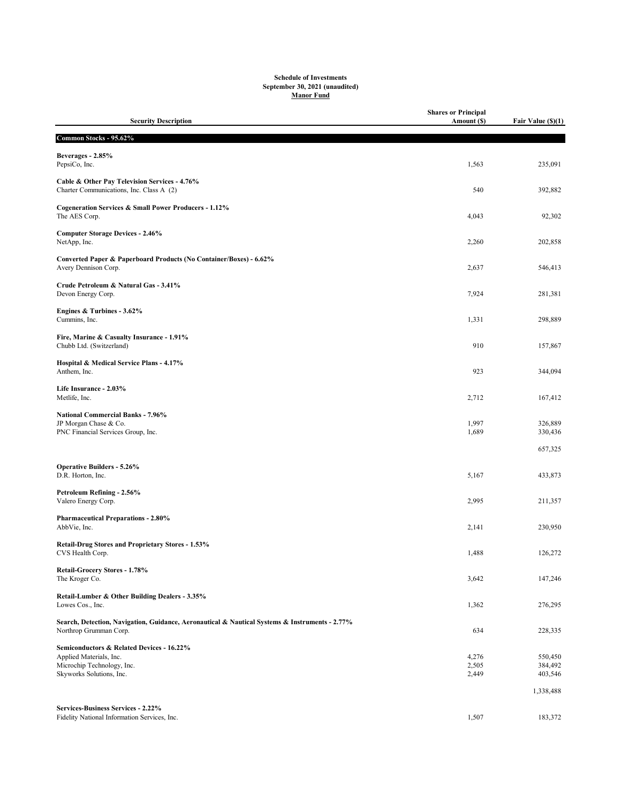## Schedule of Investments September 30, 2021 (unaudited) Manor Fund

| <b>Security Description</b>                                                                                              | <b>Shares or Principal</b><br>Amount (\$) | Fair Value (\$)(1) |
|--------------------------------------------------------------------------------------------------------------------------|-------------------------------------------|--------------------|
| Common Stocks - 95.62%                                                                                                   |                                           |                    |
| Beverages - 2.85%<br>PepsiCo, Inc.                                                                                       | 1,563                                     | 235,091            |
| Cable & Other Pay Television Services - 4.76%<br>Charter Communications, Inc. Class A (2)                                | 540                                       | 392,882            |
| Cogeneration Services & Small Power Producers - 1.12%<br>The AES Corp.                                                   | 4,043                                     | 92,302             |
| <b>Computer Storage Devices - 2.46%</b><br>NetApp, Inc.                                                                  | 2,260                                     | 202,858            |
| Converted Paper & Paperboard Products (No Container/Boxes) - 6.62%<br>Avery Dennison Corp.                               | 2,637                                     | 546,413            |
| Crude Petroleum & Natural Gas - 3.41%<br>Devon Energy Corp.                                                              | 7,924                                     | 281,381            |
| Engines & Turbines - 3.62%<br>Cummins, Inc.                                                                              | 1,331                                     | 298,889            |
| Fire, Marine & Casualty Insurance - 1.91%<br>Chubb Ltd. (Switzerland)                                                    | 910                                       | 157,867            |
| Hospital & Medical Service Plans - 4.17%<br>Anthem, Inc.                                                                 | 923                                       | 344,094            |
| Life Insurance - 2.03%<br>Metlife, Inc.                                                                                  | 2,712                                     | 167,412            |
| <b>National Commercial Banks - 7.96%</b><br>JP Morgan Chase & Co.<br>PNC Financial Services Group, Inc.                  | 1,997<br>1,689                            | 326,889<br>330,436 |
|                                                                                                                          |                                           | 657,325            |
| <b>Operative Builders - 5.26%</b><br>D.R. Horton, Inc.                                                                   | 5,167                                     | 433,873            |
| Petroleum Refining - 2.56%<br>Valero Energy Corp.                                                                        | 2,995                                     | 211,357            |
| <b>Pharmaceutical Preparations - 2.80%</b><br>AbbVie, Inc.                                                               | 2,141                                     | 230,950            |
| Retail-Drug Stores and Proprietary Stores - 1.53%<br>CVS Health Corp.                                                    | 1,488                                     | 126,272            |
| Retail-Grocery Stores - 1.78%<br>The Kroger Co.                                                                          | 3,642                                     | 147,246            |
| Retail-Lumber & Other Building Dealers - 3.35%<br>Lowes Cos., Inc.                                                       | 1,362                                     | 276,295            |
| Search, Detection, Navigation, Guidance, Aeronautical & Nautical Systems & Instruments - 2.77%<br>Northrop Grumman Corp. | 634                                       | 228,335            |
| Semiconductors & Related Devices - 16.22%                                                                                |                                           |                    |
| Applied Materials, Inc.<br>Microchip Technology, Inc.                                                                    | 4,276<br>2,505                            | 550,450<br>384,492 |
| Skyworks Solutions, Inc.                                                                                                 | 2,449                                     | 403,546            |
|                                                                                                                          |                                           | 1,338,488          |
| <b>Services-Business Services - 2.22%</b><br>Fidelity National Information Services, Inc.                                | 1,507                                     | 183,372            |